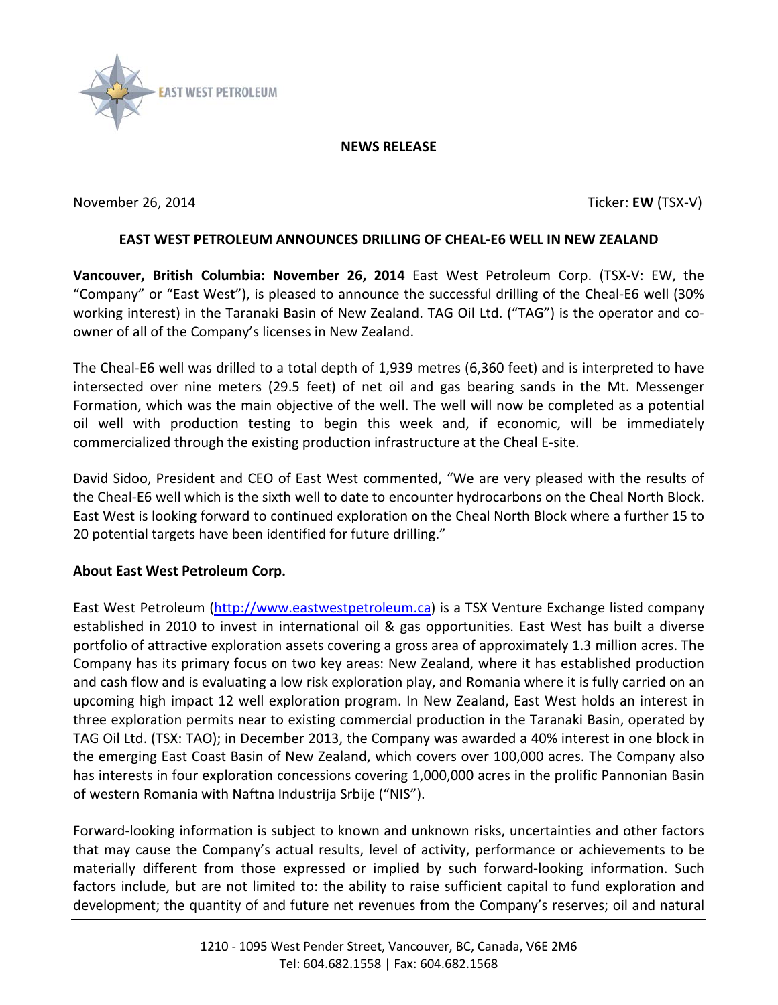

## **NEWS RELEASE**

November 26, 2014 Ticker: **EW** (TSX-V)

## **EAST WEST PETROLEUM ANNOUNCES DRILLING OF CHEAL-E6 WELL IN NEW ZEALAND**

**Vancouver, British Columbia: November 26, 2014** East West Petroleum Corp. (TSX-V: EW, the "Company" or "East West"), is pleased to announce the successful drilling of the Cheal-E6 well (30% working interest) in the Taranaki Basin of New Zealand. TAG Oil Ltd. ("TAG") is the operator and coowner of all of the Company's licenses in New Zealand.

The Cheal-E6 well was drilled to a total depth of 1,939 metres (6,360 feet) and is interpreted to have intersected over nine meters (29.5 feet) of net oil and gas bearing sands in the Mt. Messenger Formation, which was the main objective of the well. The well will now be completed as a potential oil well with production testing to begin this week and, if economic, will be immediately commercialized through the existing production infrastructure at the Cheal E-site.

David Sidoo, President and CEO of East West commented, "We are very pleased with the results of the Cheal-E6 well which is the sixth well to date to encounter hydrocarbons on the Cheal North Block. East West is looking forward to continued exploration on the Cheal North Block where a further 15 to 20 potential targets have been identified for future drilling."

## **About East West Petroleum Corp.**

East West Petroleum [\(http://www.eastwestpetroleum.ca\)](http://www.eastwestpetroleum.ca/) is a TSX Venture Exchange listed company established in 2010 to invest in international oil & gas opportunities. East West has built a diverse portfolio of attractive exploration assets covering a gross area of approximately 1.3 million acres. The Company has its primary focus on two key areas: New Zealand, where it has established production and cash flow and is evaluating a low risk exploration play, and Romania where it is fully carried on an upcoming high impact 12 well exploration program. In New Zealand, East West holds an interest in three exploration permits near to existing commercial production in the Taranaki Basin, operated by TAG Oil Ltd. (TSX: TAO); in December 2013, the Company was awarded a 40% interest in one block in the emerging East Coast Basin of New Zealand, which covers over 100,000 acres. The Company also has interests in four exploration concessions covering 1,000,000 acres in the prolific Pannonian Basin of western Romania with Naftna Industrija Srbije ("NIS").

Forward-looking information is subject to known and unknown risks, uncertainties and other factors that may cause the Company's actual results, level of activity, performance or achievements to be materially different from those expressed or implied by such forward-looking information. Such factors include, but are not limited to: the ability to raise sufficient capital to fund exploration and development; the quantity of and future net revenues from the Company's reserves; oil and natural